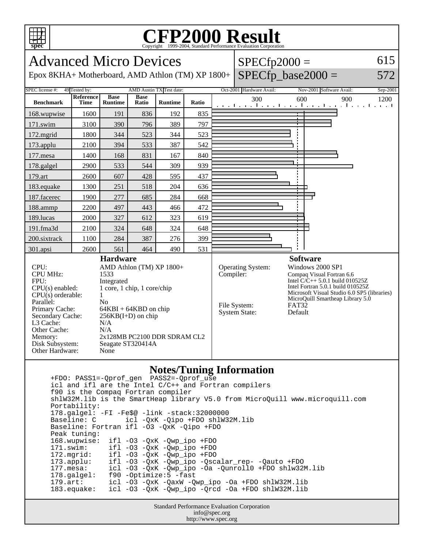

## **CFP2000 Result** Copyright 1999-2004, Standard Performance Evaluation Corporation



 icl and ifl are the Intel C/C++ and Fortran compilers f90 is the Compaq Fortran compiler shlW32M.lib is the SmartHeap library V5.0 from MicroQuill www.microquill.com Portability: 178.galgel: -FI -Fe\$@ -link -stack:32000000 icl -QxK -Qipo +FDO shlW32M.lib Baseline: Fortran ifl -O3 -QxK -Qipo +FDO Peak tuning: 168.wupwise: ifl -O3 -QxK -Qwp\_ipo +FDO 171.swim: ifl -O3 -QxK -Qwp\_ipo +FDO<br>172.mgrid: ifl -O3 -QxK -Qwp\_ipo +FDO 172.mgrid: ifl -O3 -QxK -Qwp\_ipo +FDO 173.applu: ifl -O3 -QxK -Qwp\_ipo -Qscalar\_rep- -Qauto +FDO 177.mesa: icl -O3 -QxK -Qwp\_ipo -Oa -Qunroll0 +FDO shlw32M.lib 178.galgel: f90 -Optimize:5 -fast 179.art: icl -O3 -QxK -QaxW -Qwp\_ipo -Oa +FDO shlW32M.lib 183.equake: icl -O3 -QxK -Qwp\_ipo -Qrcd -Oa +FDO shlW32M.lib

> Standard Performance Evaluation Corporation info@spec.org http://www.spec.org